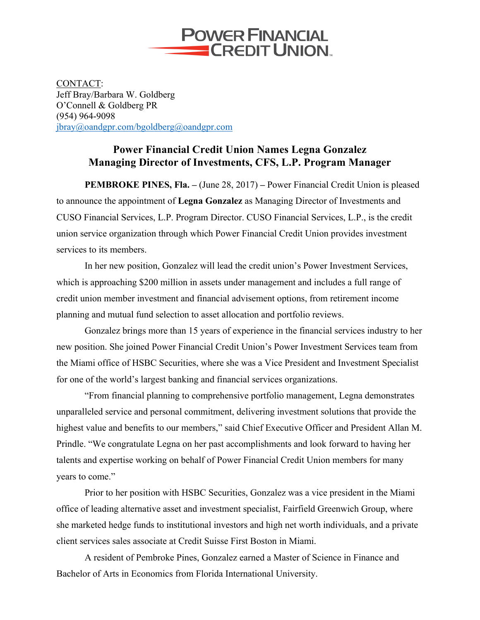

CONTACT: Jeff Bray/Barbara W. Goldberg O'Connell & Goldberg PR (954) 964-9098 jbray@oandgpr.com/bgoldberg@oandgpr.com

## **Power Financial Credit Union Names Legna Gonzalez Managing Director of Investments, CFS, L.P. Program Manager**

**PEMBROKE PINES, Fla. –** (June 28, 2017) **–** Power Financial Credit Union is pleased to announce the appointment of **Legna Gonzalez** as Managing Director of Investments and CUSO Financial Services, L.P. Program Director. CUSO Financial Services, L.P., is the credit union service organization through which Power Financial Credit Union provides investment services to its members.

In her new position, Gonzalez will lead the credit union's Power Investment Services, which is approaching \$200 million in assets under management and includes a full range of credit union member investment and financial advisement options, from retirement income planning and mutual fund selection to asset allocation and portfolio reviews.

Gonzalez brings more than 15 years of experience in the financial services industry to her new position. She joined Power Financial Credit Union's Power Investment Services team from the Miami office of HSBC Securities, where she was a Vice President and Investment Specialist for one of the world's largest banking and financial services organizations.

"From financial planning to comprehensive portfolio management, Legna demonstrates unparalleled service and personal commitment, delivering investment solutions that provide the highest value and benefits to our members," said Chief Executive Officer and President Allan M. Prindle. "We congratulate Legna on her past accomplishments and look forward to having her talents and expertise working on behalf of Power Financial Credit Union members for many years to come."

Prior to her position with HSBC Securities, Gonzalez was a vice president in the Miami office of leading alternative asset and investment specialist, Fairfield Greenwich Group, where she marketed hedge funds to institutional investors and high net worth individuals, and a private client services sales associate at Credit Suisse First Boston in Miami.

A resident of Pembroke Pines, Gonzalez earned a Master of Science in Finance and Bachelor of Arts in Economics from Florida International University.